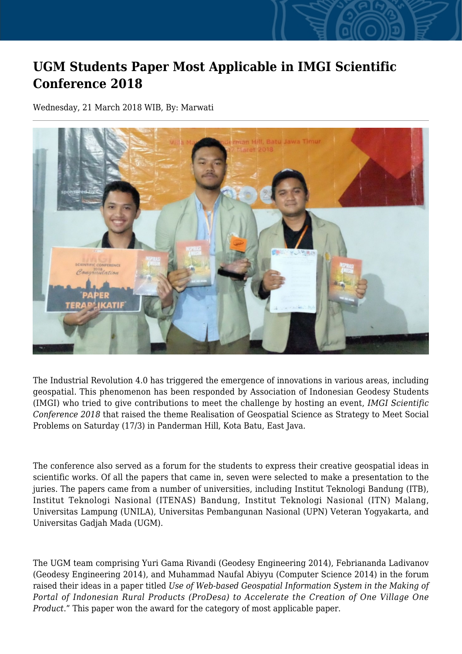## **UGM Students Paper Most Applicable in IMGI Scientific Conference 2018**

Wednesday, 21 March 2018 WIB, By: Marwati



The Industrial Revolution 4.0 has triggered the emergence of innovations in various areas, including geospatial. This phenomenon has been responded by Association of Indonesian Geodesy Students (IMGI) who tried to give contributions to meet the challenge by hosting an event, *IMGI Scientific Conference 2018* that raised the theme Realisation of Geospatial Science as Strategy to Meet Social Problems on Saturday (17/3) in Panderman Hill, Kota Batu, East Java.

The conference also served as a forum for the students to express their creative geospatial ideas in scientific works. Of all the papers that came in, seven were selected to make a presentation to the juries. The papers came from a number of universities, including Institut Teknologi Bandung (ITB), Institut Teknologi Nasional (ITENAS) Bandung, Institut Teknologi Nasional (ITN) Malang, Universitas Lampung (UNILA), Universitas Pembangunan Nasional (UPN) Veteran Yogyakarta, and Universitas Gadjah Mada (UGM).

The UGM team comprising Yuri Gama Rivandi (Geodesy Engineering 2014), Febriananda Ladivanov (Geodesy Engineering 2014), and Muhammad Naufal Abiyyu (Computer Science 2014) in the forum raised their ideas in a paper titled *Use of Web-based Geospatial Information System in the Making of Portal of Indonesian Rural Products (ProDesa) to Accelerate the Creation of One Village One Product*." This paper won the award for the category of most applicable paper.